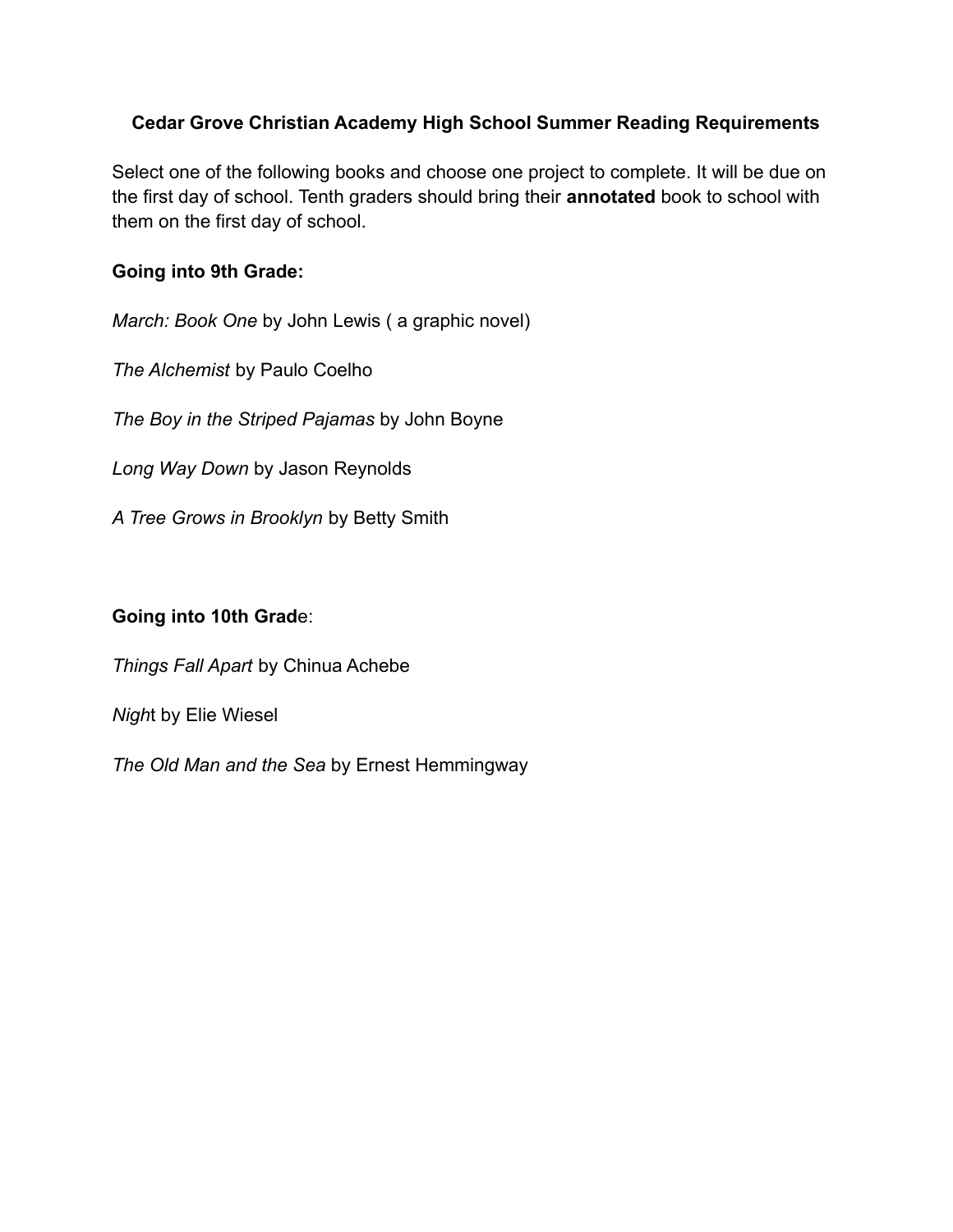## **Cedar Grove Christian Academy High School Summer Reading Requirements**

Select one of the following books and choose one project to complete. It will be due on the first day of school. Tenth graders should bring their **annotated** book to school with them on the first day of school.

## **Going into 9th Grade:**

*March: Book One* by John Lewis ( a graphic novel)

*The Alchemist* by Paulo Coelho

*The Boy in the Striped Pajamas* by John Boyne

*Long Way Down* by Jason Reynolds

*A Tree Grows in Brooklyn* by Betty Smith

## **Going into 10th Grad**e:

*Things Fall Apart* by Chinua Achebe

*Nigh*t by Elie Wiesel

*The Old Man and the Sea* by Ernest Hemmingway